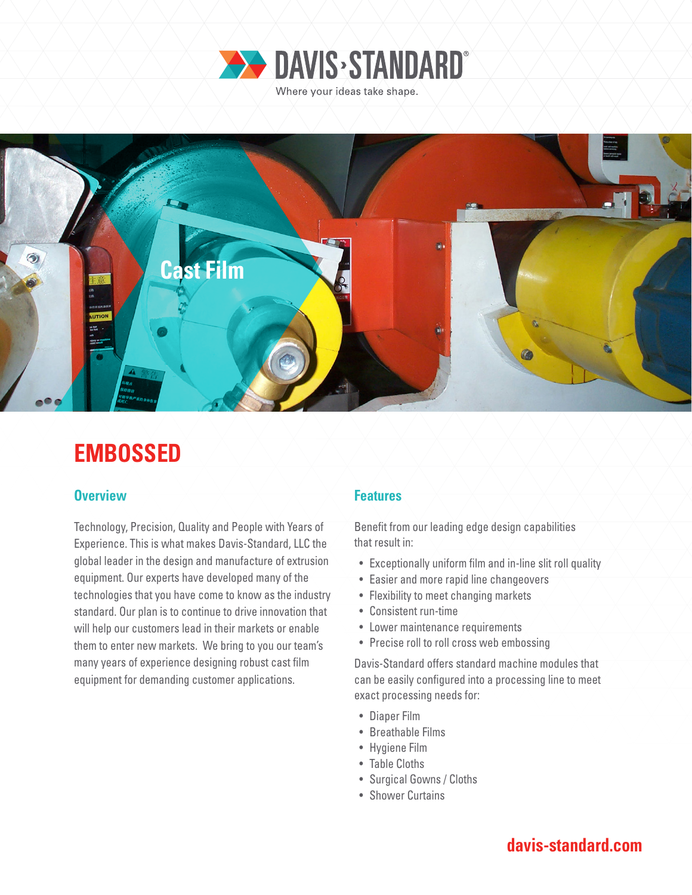



# **EMBOSSED**

### **Overview Features**

Technology, Precision, Quality and People with Years of Experience. This is what makes Davis-Standard, LLC the global leader in the design and manufacture of extrusion equipment. Our experts have developed many of the technologies that you have come to know as the industry standard. Our plan is to continue to drive innovation that will help our customers lead in their markets or enable them to enter new markets. We bring to you our team's many years of experience designing robust cast film equipment for demanding customer applications.

Benefit from our leading edge design capabilities that result in:

- Exceptionally uniform film and in-line slit roll quality
- Easier and more rapid line changeovers
- Flexibility to meet changing markets
- Consistent run-time
- Lower maintenance requirements
- Precise roll to roll cross web embossing

Davis-Standard offers standard machine modules that can be easily configured into a processing line to meet exact processing needs for:

- Diaper Film
- Breathable Films
- Hygiene Film
- Table Cloths
- Surgical Gowns / Cloths
- Shower Curtains

# **davis-standard.com**